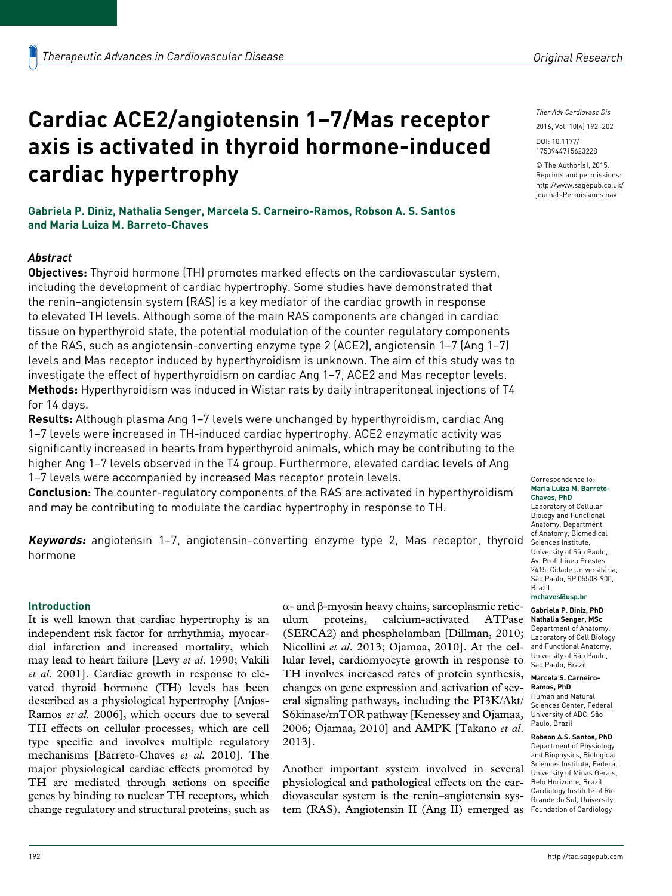# **Cardiac ACE2/angiotensin 1–7/Mas receptor axis is activated in thyroid hormone-induced cardiac hypertrophy**

**Gabriela P. Diniz, Nathalia Senger, Marcela S. Carneiro-Ramos, Robson A. S. Santos and Maria Luiza M. Barreto-Chaves**

# *Abstract*

**Objectives:** Thyroid hormone (TH) promotes marked effects on the cardiovascular system, including the development of cardiac hypertrophy. Some studies have demonstrated that the renin–angiotensin system (RAS) is a key mediator of the cardiac growth in response to elevated TH levels. Although some of the main RAS components are changed in cardiac tissue on hyperthyroid state, the potential modulation of the counter regulatory components of the RAS, such as angiotensin-converting enzyme type 2 (ACE2), angiotensin 1–7 (Ang 1–7) levels and Mas receptor induced by hyperthyroidism is unknown. The aim of this study was to investigate the effect of hyperthyroidism on cardiac Ang 1–7, ACE2 and Mas receptor levels. **Methods:** Hyperthyroidism was induced in Wistar rats by daily intraperitoneal injections of T4 for 14 days.

**Results:** Although plasma Ang 1–7 levels were unchanged by hyperthyroidism, cardiac Ang 1–7 levels were increased in TH-induced cardiac hypertrophy. ACE2 enzymatic activity was significantly increased in hearts from hyperthyroid animals, which may be contributing to the higher Ang 1–7 levels observed in the T4 group. Furthermore, elevated cardiac levels of Ang 1–7 levels were accompanied by increased Mas receptor protein levels.

**Conclusion:** The counter-regulatory components of the RAS are activated in hyperthyroidism and may be contributing to modulate the cardiac hypertrophy in response to TH.

**Keywords:** angiotensin 1–7, angiotensin-converting enzyme type 2, Mas receptor, thyroid Sciences Institute, hormone

#### **Introduction**

It is well known that cardiac hypertrophy is an independent risk factor for arrhythmia, myocardial infarction and increased mortality, which may lead to heart failure [Levy *et al*. 1990; Vakili *et al*. 2001]. Cardiac growth in response to elevated thyroid hormone (TH) levels has been described as a physiological hypertrophy [Anjos-Ramos *et al.* 2006], which occurs due to several TH effects on cellular processes, which are cell type specific and involves multiple regulatory mechanisms [Barreto-Chaves *et al.* 2010]. The major physiological cardiac effects promoted by TH are mediated through actions on specific genes by binding to nuclear TH receptors, which change regulatory and structural proteins, such as

α- and β-myosin heavy chains, sarcoplasmic reticulum proteins, calcium-activated ATPase (SERCA2) and phospholamban [Dillman, 2010; Nicollini *et al*. 2013; Ojamaa, 2010]. At the cellular level, cardiomyocyte growth in response to TH involves increased rates of protein synthesis, changes on gene expression and activation of several signaling pathways, including the PI3K/Akt/ S6kinase/mTOR pathway [Kenessey and Ojamaa, 2006; Ojamaa, 2010] and AMPK [Takano *et al*. 2013].

Another important system involved in several physiological and pathological effects on the cardiovascular system is the renin–angiotensin system (RAS). Angiotensin II (Ang II) emerged as Foundation of Cardiology

2016, Vol. 10(4) 192–202 DOI: 10.1177/ 1753944715623228

© The Author(s), 2015. Reprints and permissions: [http://www.sagepub.co.uk/](http://www.sagepub.co.uk/journalsPermissions.nav) [journalsPermissions.nav](http://www.sagepub.co.uk/journalsPermissions.nav)

Correspondence to: **Maria Luiza M. Barreto-Chaves, PhD**

Laboratory of Cellular Biology and Functional Anatomy, Department of Anatomy, Biomedical University of São Paulo, Av. Prof. Lineu Prestes 2415, Cidade Universitária, São Paulo, SP 05508-900, Brazil

**[mchaves@usp.br](mailto:mchaves@usp.br)**

**Gabriela P. Diniz, PhD Nathalia Senger, MSc** Department of Anatomy, Laboratory of Cell Biology and Functional Anatomy, University of São Paulo, Sao Paulo, Brazil

#### **Marcela S. Carneiro-**

**Ramos, PhD** Human and Natural Sciences Center, Federal University of ABC, São Paulo, Brazil

**Robson A.S. Santos, PhD** Department of Physiology and Biophysics, Biological Sciences Institute, Federal University of Minas Gerais, Belo Horizonte, Brazil Cardiology Institute of Rio Grande do Sul, University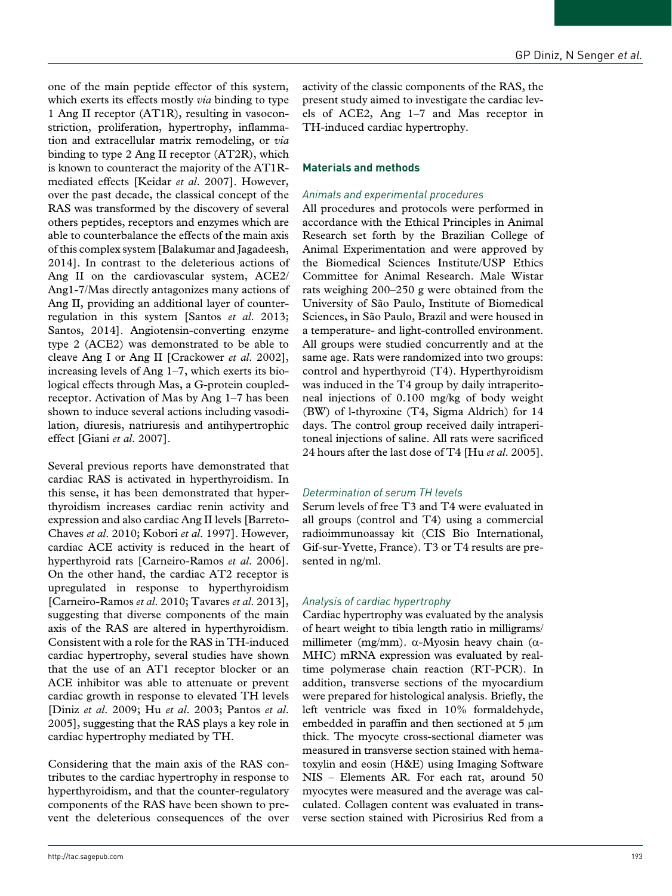one of the main peptide effector of this system, which exerts its effects mostly *via* binding to type 1 Ang II receptor (AT1R), resulting in vasoconstriction, proliferation, hypertrophy, inflammation and extracellular matrix remodeling, or *via* binding to type 2 Ang II receptor (AT2R), which is known to counteract the majority of the AT1Rmediated effects [Keidar *et al*. 2007]. However, over the past decade, the classical concept of the RAS was transformed by the discovery of several others peptides, receptors and enzymes which are able to counterbalance the effects of the main axis of this complex system [Balakumar and Jagadeesh, 2014]. In contrast to the deleterious actions of Ang II on the cardiovascular system, ACE2/ Ang1-7/Mas directly antagonizes many actions of Ang II, providing an additional layer of counterregulation in this system [Santos *et al*. 2013; Santos, 2014]. Angiotensin-converting enzyme type 2 (ACE2) was demonstrated to be able to cleave Ang I or Ang II [Crackower *et al*. 2002], increasing levels of Ang 1–7, which exerts its biological effects through Mas, a G-protein coupledreceptor. Activation of Mas by Ang 1–7 has been shown to induce several actions including vasodilation, diuresis, natriuresis and antihypertrophic effect [Giani *et al*. 2007].

Several previous reports have demonstrated that cardiac RAS is activated in hyperthyroidism. In this sense, it has been demonstrated that hyperthyroidism increases cardiac renin activity and expression and also cardiac Ang II levels [Barreto-Chaves *et al*. 2010; Kobori *et al*. 1997]. However, cardiac ACE activity is reduced in the heart of hyperthyroid rats [Carneiro-Ramos *et al*. 2006]. On the other hand, the cardiac AT2 receptor is upregulated in response to hyperthyroidism [Carneiro-Ramos *et al*. 2010; Tavares *et al*. 2013], suggesting that diverse components of the main axis of the RAS are altered in hyperthyroidism. Consistent with a role for the RAS in TH-induced cardiac hypertrophy, several studies have shown that the use of an AT1 receptor blocker or an ACE inhibitor was able to attenuate or prevent cardiac growth in response to elevated TH levels [Diniz *et al*. 2009; Hu *et al*. 2003; Pantos *et al*. 2005], suggesting that the RAS plays a key role in cardiac hypertrophy mediated by TH.

Considering that the main axis of the RAS contributes to the cardiac hypertrophy in response to hyperthyroidism, and that the counter-regulatory components of the RAS have been shown to prevent the deleterious consequences of the over activity of the classic components of the RAS, the present study aimed to investigate the cardiac levels of ACE2, Ang 1–7 and Mas receptor in TH-induced cardiac hypertrophy.

#### **Materials and methods**

#### *Animals and experimental procedures*

All procedures and protocols were performed in accordance with the Ethical Principles in Animal Research set forth by the Brazilian College of Animal Experimentation and were approved by the Biomedical Sciences Institute/USP Ethics Committee for Animal Research. Male Wistar rats weighing 200–250 g were obtained from the University of São Paulo, Institute of Biomedical Sciences, in São Paulo, Brazil and were housed in a temperature- and light-controlled environment. All groups were studied concurrently and at the same age. Rats were randomized into two groups: control and hyperthyroid (T4). Hyperthyroidism was induced in the T4 group by daily intraperitoneal injections of 0.100 mg/kg of body weight (BW) of l-thyroxine (T4, Sigma Aldrich) for 14 days. The control group received daily intraperitoneal injections of saline. All rats were sacrificed 24 hours after the last dose of T4 [Hu *et al*. 2005].

## *Determination of serum TH levels*

Serum levels of free T3 and T4 were evaluated in all groups (control and T4) using a commercial radioimmunoassay kit (CIS Bio International, Gif-sur-Yvette, France). T3 or T4 results are presented in ng/ml.

## *Analysis of cardiac hypertrophy*

Cardiac hypertrophy was evaluated by the analysis of heart weight to tibia length ratio in milligrams/ millimeter (mg/mm).  $\alpha$ -Myosin heavy chain ( $\alpha$ -MHC) mRNA expression was evaluated by realtime polymerase chain reaction (RT-PCR). In addition, transverse sections of the myocardium were prepared for histological analysis. Briefly, the left ventricle was fixed in 10% formaldehyde, embedded in paraffin and then sectioned at 5  $\mu$ m thick. The myocyte cross-sectional diameter was measured in transverse section stained with hematoxylin and eosin (H&E) using Imaging Software NIS – Elements AR. For each rat, around 50 myocytes were measured and the average was calculated. Collagen content was evaluated in transverse section stained with Picrosirius Red from a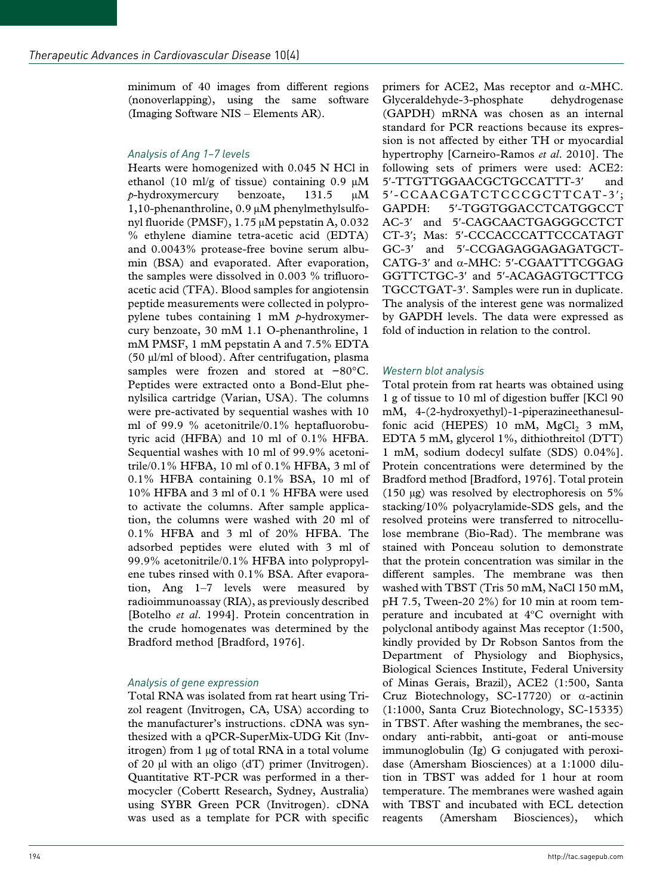minimum of 40 images from different regions (nonoverlapping), using the same software (Imaging Software NIS – Elements AR).

# *Analysis of Ang 1–7 levels*

Hearts were homogenized with 0.045 N HCl in ethanol (10 ml/g of tissue) containing  $0.9 \mu M$ *p*-hydroxymercury benzoate, 131.5 μM 1,10-phenanthroline, 0.9 μM phenylmethylsulfonyl fluoride (PMSF), 1.75 μM pepstatin A, 0.032 % ethylene diamine tetra-acetic acid (EDTA) and 0.0043% protease-free bovine serum albumin (BSA) and evaporated. After evaporation, the samples were dissolved in 0.003 % trifluoroacetic acid (TFA). Blood samples for angiotensin peptide measurements were collected in polypropylene tubes containing 1 mM *p*-hydroxymercury benzoate, 30 mM 1.1 O-phenanthroline, 1 mM PMSF, 1 mM pepstatin A and 7.5% EDTA (50 μl/ml of blood). After centrifugation, plasma samples were frozen and stored at −80°C. Peptides were extracted onto a Bond-Elut phenylsilica cartridge (Varian, USA). The columns were pre-activated by sequential washes with 10 ml of 99.9 % acetonitrile/0.1% heptafluorobutyric acid (HFBA) and 10 ml of 0.1% HFBA. Sequential washes with 10 ml of 99.9% acetonitrile/0.1% HFBA, 10 ml of 0.1% HFBA, 3 ml of 0.1% HFBA containing 0.1% BSA, 10 ml of 10% HFBA and 3 ml of 0.1 % HFBA were used to activate the columns. After sample application, the columns were washed with 20 ml of 0.1% HFBA and 3 ml of 20% HFBA. The adsorbed peptides were eluted with 3 ml of 99.9% acetonitrile/0.1% HFBA into polypropylene tubes rinsed with 0.1% BSA. After evaporation, Ang 1–7 levels were measured by radioimmunoassay (RIA), as previously described [Botelho *et al*. 1994]. Protein concentration in the crude homogenates was determined by the Bradford method [Bradford, 1976].

# *Analysis of gene expression*

Total RNA was isolated from rat heart using Trizol reagent (Invitrogen, CA, USA) according to the manufacturer's instructions. cDNA was synthesized with a qPCR-SuperMix-UDG Kit (Invitrogen) from 1 µg of total RNA in a total volume of 20  $\mu$ l with an oligo (dT) primer (Invitrogen). Quantitative RT-PCR was performed in a thermocycler (Cobertt Research, Sydney, Australia) using SYBR Green PCR (Invitrogen). cDNA was used as a template for PCR with specific

primers for ACE2, Mas receptor and α-MHC. Glyceraldehyde-3-phosphate dehydrogenase (GAPDH) mRNA was chosen as an internal standard for PCR reactions because its expression is not affected by either TH or myocardial hypertrophy [Carneiro-Ramos *et al*. 2010]. The following sets of primers were used: ACE2: 5'-TTGTTGGAACGCTGCCATTT-3' 5′-CCAACGATCTCCCGCTTCAT-3′; GAPDH: 5′-TGGTGGACCTCATGGCCT AC-3′ and 5′-CAGCAACTGAGGGCCTCT CT-3′; Mas: 5′-CCCACCCATTCCCATAGT GC-3′ and 5′-CCGAGAGGAGAGATGCT-CATG-3′ and α-MHC: 5′-CGAATTTCGGAG GGTTCTGC-3′ and 5′-ACAGAGTGCTTCG TGCCTGAT-3′. Samples were run in duplicate. The analysis of the interest gene was normalized by GAPDH levels. The data were expressed as fold of induction in relation to the control.

## *Western blot analysis*

Total protein from rat hearts was obtained using 1 g of tissue to 10 ml of digestion buffer [KCl 90 mM, 4-(2-hydroxyethyl)-1-piperazineethanesulfonic acid (HEPES) 10 mM,  $MgCl<sub>2</sub>$  3 mM, EDTA 5 mM, glycerol 1%, dithiothreitol (DTT) 1 mM, sodium dodecyl sulfate (SDS) 0.04%]. Protein concentrations were determined by the Bradford method [Bradford, 1976]. Total protein (150 μg) was resolved by electrophoresis on 5% stacking/10% polyacrylamide-SDS gels, and the resolved proteins were transferred to nitrocellulose membrane (Bio-Rad). The membrane was stained with Ponceau solution to demonstrate that the protein concentration was similar in the different samples. The membrane was then washed with TBST (Tris 50 mM, NaCl 150 mM, pH 7.5, Tween-20 2%) for 10 min at room temperature and incubated at 4ºC overnight with polyclonal antibody against Mas receptor (1:500, kindly provided by Dr Robson Santos from the Department of Physiology and Biophysics, Biological Sciences Institute, Federal University of Minas Gerais, Brazil), ACE2 (1:500, Santa Cruz Biotechnology, SC-17720) or α-actinin (1:1000, Santa Cruz Biotechnology, SC-15335) in TBST. After washing the membranes, the secondary anti-rabbit, anti-goat or anti-mouse immunoglobulin (Ig) G conjugated with peroxidase (Amersham Biosciences) at a 1:1000 dilution in TBST was added for 1 hour at room temperature. The membranes were washed again with TBST and incubated with ECL detection reagents (Amersham Biosciences), which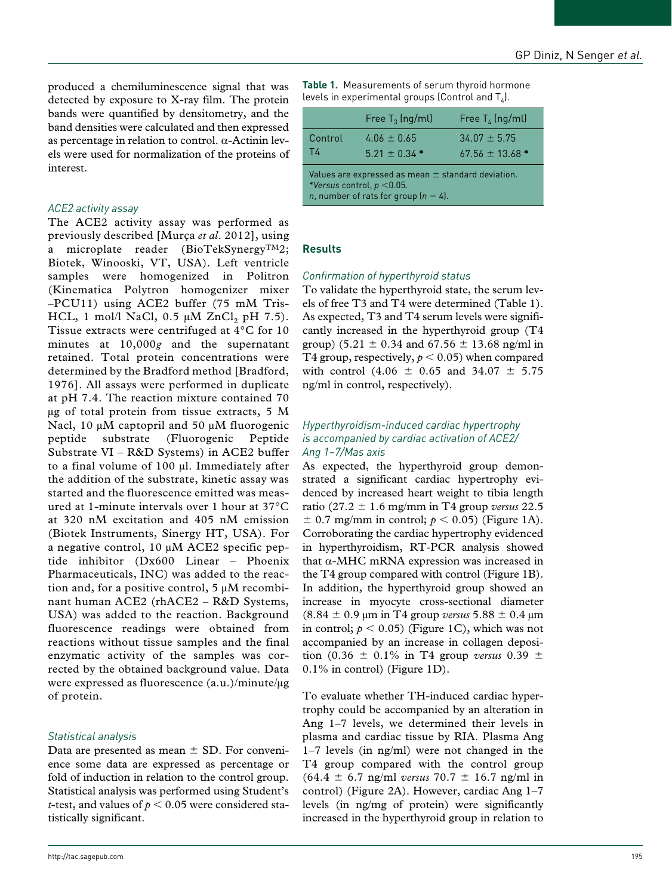produced a chemiluminescence signal that was detected by exposure to X-ray film. The protein bands were quantified by densitometry, and the band densities were calculated and then expressed as percentage in relation to control. α-Actinin levels were used for normalization of the proteins of interest.

# *ACE2 activity assay*

The ACE2 activity assay was performed as previously described [Murça *et al*. 2012], using a microplate reader (BioTekSynergy<sup>TM</sup>2; Biotek, Winooski, VT, USA). Left ventricle samples were homogenized in Politron (Kinematica Polytron homogenizer mixer –PCU11) using ACE2 buffer (75 mM Tris-HCL, 1 mol/l NaCl, 0.5  $\mu$ M ZnCl<sub>2</sub> pH 7.5). Tissue extracts were centrifuged at 4°C for 10 minutes at 10,000*g* and the supernatant retained. Total protein concentrations were determined by the Bradford method [Bradford, 1976]. All assays were performed in duplicate at pH 7.4. The reaction mixture contained 70 µg of total protein from tissue extracts, 5 M Nacl, 10 µM captopril and 50 µM fluorogenic peptide substrate (Fluorogenic Peptide Substrate VI – R&D Systems) in ACE2 buffer to a final volume of 100 µl. Immediately after the addition of the substrate, kinetic assay was started and the fluorescence emitted was measured at 1-minute intervals over 1 hour at 37°C at 320 nM excitation and 405 nM emission (Biotek Instruments, Sinergy HT, USA). For a negative control, 10 µM ACE2 specific peptide inhibitor (Dx600 Linear – Phoenix Pharmaceuticals, INC) was added to the reaction and, for a positive control, 5 µM recombinant human ACE2 (rhACE2 – R&D Systems, USA) was added to the reaction. Background fluorescence readings were obtained from reactions without tissue samples and the final enzymatic activity of the samples was corrected by the obtained background value. Data were expressed as fluorescence (a.u.)/minute/µg of protein.

# *Statistical analysis*

Data are presented as mean  $\pm$  SD. For convenience some data are expressed as percentage or fold of induction in relation to the control group. Statistical analysis was performed using Student's *t*-test, and values of  $p < 0.05$  were considered statistically significant.

**Table 1.** Measurements of serum thyroid hormone levels in experimental groups (Control and  $T<sub>a</sub>$ ).

|                                                                                                                                            | Free $T_3$ (ng/ml)               | Free $T_4$ (ng/ml)                  |
|--------------------------------------------------------------------------------------------------------------------------------------------|----------------------------------|-------------------------------------|
| Control<br>T4                                                                                                                              | $4.06 + 0.65$<br>$5.21 + 0.34$ * | $34.07 + 5.75$<br>$67.56 + 13.68$ * |
| Values are expressed as mean $\pm$ standard deviation.<br>*Versus control, $p < 0.05$ .<br><i>n</i> , number of rats for group $(n = 4)$ . |                                  |                                     |

## **Results**

#### *Confirmation of hyperthyroid status*

To validate the hyperthyroid state, the serum levels of free T3 and T4 were determined (Table 1). As expected, T3 and T4 serum levels were significantly increased in the hyperthyroid group (T4 group) (5.21  $\pm$  0.34 and 67.56  $\pm$  13.68 ng/ml in T4 group, respectively,  $p < 0.05$ ) when compared with control (4.06  $\pm$  0.65 and 34.07  $\pm$  5.75 ng/ml in control, respectively).

## *Hyperthyroidism-induced cardiac hypertrophy is accompanied by cardiac activation of ACE2/ Ang 1–7/Mas axis*

As expected, the hyperthyroid group demonstrated a significant cardiac hypertrophy evidenced by increased heart weight to tibia length ratio (27.2 ± 1.6 mg/mm in T4 group *versus* 22.5  $\pm$  0.7 mg/mm in control;  $p < 0.05$ ) (Figure 1A). Corroborating the cardiac hypertrophy evidenced in hyperthyroidism, RT-PCR analysis showed that  $α$ -MHC mRNA expression was increased in the T4 group compared with control (Figure 1B). In addition, the hyperthyroid group showed an increase in myocyte cross-sectional diameter (8.84 ± 0.9 μm in T4 group *versus* 5.88 ± 0.4 µm in control;  $p < 0.05$ ) (Figure 1C), which was not accompanied by an increase in collagen deposition (0.36 ± 0.1% in T4 group *versus* 0.39 ± 0.1% in control) (Figure 1D).

To evaluate whether TH-induced cardiac hypertrophy could be accompanied by an alteration in Ang 1–7 levels, we determined their levels in plasma and cardiac tissue by RIA. Plasma Ang 1–7 levels (in ng/ml) were not changed in the T4 group compared with the control group (64.4 ± 6.7 ng/ml *versus* 70.7 ± 16.7 ng/ml in control) (Figure 2A). However, cardiac Ang 1–7 levels (in ng/mg of protein) were significantly increased in the hyperthyroid group in relation to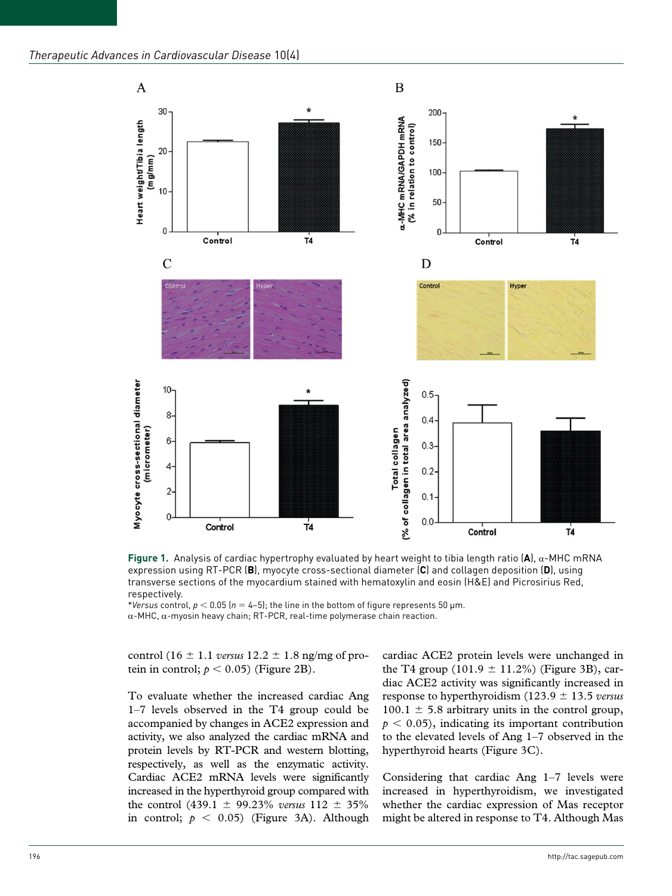

**Figure 1.** Analysis of cardiac hypertrophy evaluated by heart weight to tibia length ratio (**A**), α-MHC mRNA expression using RT-PCR (**B**), myocyte cross-sectional diameter (**C**) and collagen deposition (**D**), using transverse sections of the myocardium stained with hematoxylin and eosin (H&E) and Picrosirius Red, respectively.

\**Versus* control, *p* < 0.05 (*n* = 4–5); the line in the bottom of figure represents 50 μm. α-MHC, α-myosin heavy chain; RT-PCR, real-time polymerase chain reaction.

control (16  $\pm$  1.1 *versus* 12.2  $\pm$  1.8 ng/mg of protein in control;  $p < 0.05$ ) (Figure 2B).

To evaluate whether the increased cardiac Ang 1–7 levels observed in the T4 group could be accompanied by changes in ACE2 expression and activity, we also analyzed the cardiac mRNA and protein levels by RT-PCR and western blotting, respectively, as well as the enzymatic activity. Cardiac ACE2 mRNA levels were significantly increased in the hyperthyroid group compared with the control (439.1 ± 99.23% *versus* 112 ± 35% in control;  $p \leq 0.05$ ) (Figure 3A). Although

cardiac ACE2 protein levels were unchanged in the T4 group  $(101.9 \pm 11.2\%)$  (Figure 3B), cardiac ACE2 activity was significantly increased in response to hyperthyroidism (123.9 ± 13.5 *versus* 100.1  $\pm$  5.8 arbitrary units in the control group,  $p < 0.05$ , indicating its important contribution to the elevated levels of Ang 1–7 observed in the hyperthyroid hearts (Figure 3C).

Considering that cardiac Ang 1–7 levels were increased in hyperthyroidism, we investigated whether the cardiac expression of Mas receptor might be altered in response to T4. Although Mas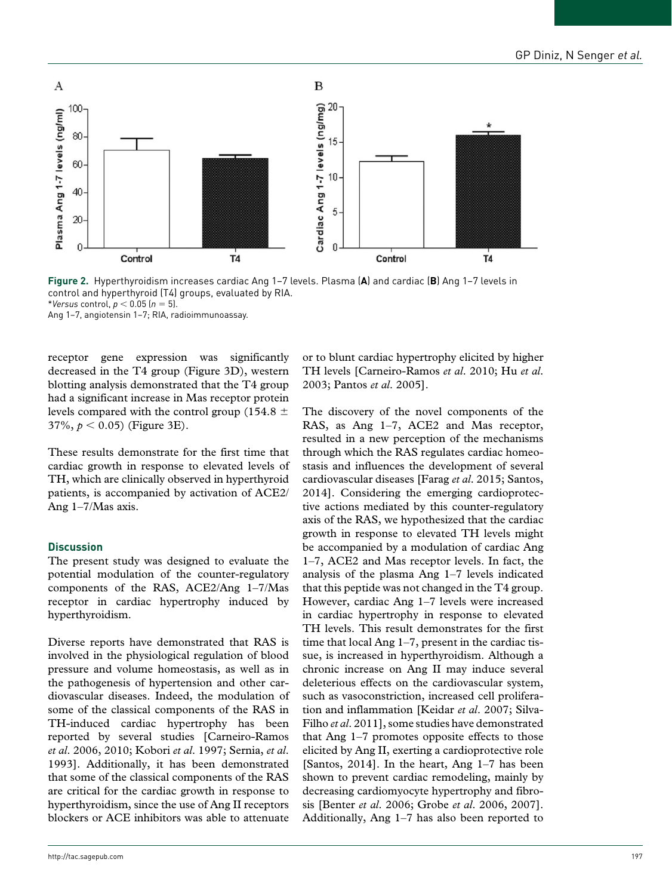

**Figure 2.** Hyperthyroidism increases cardiac Ang 1–7 levels. Plasma (**A**) and cardiac (**B**) Ang 1–7 levels in control and hyperthyroid (T4) groups, evaluated by RIA. \**Versus* control, *p* < 0.05 (*n* = 5).

Ang 1–7, angiotensin 1–7; RIA, radioimmunoassay.

receptor gene expression was significantly decreased in the T4 group (Figure 3D), western blotting analysis demonstrated that the T4 group had a significant increase in Mas receptor protein levels compared with the control group (154.8  $\pm$  $37\%, p < 0.05$ ) (Figure 3E).

These results demonstrate for the first time that cardiac growth in response to elevated levels of TH, which are clinically observed in hyperthyroid patients, is accompanied by activation of ACE2/ Ang 1–7/Mas axis.

#### **Discussion**

The present study was designed to evaluate the potential modulation of the counter-regulatory components of the RAS, ACE2/Ang 1–7/Mas receptor in cardiac hypertrophy induced by hyperthyroidism.

Diverse reports have demonstrated that RAS is involved in the physiological regulation of blood pressure and volume homeostasis, as well as in the pathogenesis of hypertension and other cardiovascular diseases. Indeed, the modulation of some of the classical components of the RAS in TH-induced cardiac hypertrophy has been reported by several studies [Carneiro-Ramos *et al*. 2006, 2010; Kobori *et al*. 1997; Sernia, *et al*. 1993]. Additionally, it has been demonstrated that some of the classical components of the RAS are critical for the cardiac growth in response to hyperthyroidism, since the use of Ang II receptors blockers or ACE inhibitors was able to attenuate or to blunt cardiac hypertrophy elicited by higher TH levels [Carneiro-Ramos *et al*. 2010; Hu *et al*. 2003; Pantos *et al*. 2005].

The discovery of the novel components of the RAS, as Ang 1–7, ACE2 and Mas receptor, resulted in a new perception of the mechanisms through which the RAS regulates cardiac homeostasis and influences the development of several cardiovascular diseases [Farag *et al*. 2015; Santos, 2014]. Considering the emerging cardioprotective actions mediated by this counter-regulatory axis of the RAS, we hypothesized that the cardiac growth in response to elevated TH levels might be accompanied by a modulation of cardiac Ang 1–7, ACE2 and Mas receptor levels. In fact, the analysis of the plasma Ang 1–7 levels indicated that this peptide was not changed in the T4 group. However, cardiac Ang 1–7 levels were increased in cardiac hypertrophy in response to elevated TH levels. This result demonstrates for the first time that local Ang 1–7, present in the cardiac tissue, is increased in hyperthyroidism. Although a chronic increase on Ang II may induce several deleterious effects on the cardiovascular system, such as vasoconstriction, increased cell proliferation and inflammation [Keidar *et al*. 2007; Silva-Filho *et al*. 2011], some studies have demonstrated that Ang 1–7 promotes opposite effects to those elicited by Ang II, exerting a cardioprotective role [Santos, 2014]. In the heart, Ang 1–7 has been shown to prevent cardiac remodeling, mainly by decreasing cardiomyocyte hypertrophy and fibrosis [Benter *et al*. 2006; Grobe *et al*. 2006, 2007]. Additionally, Ang 1–7 has also been reported to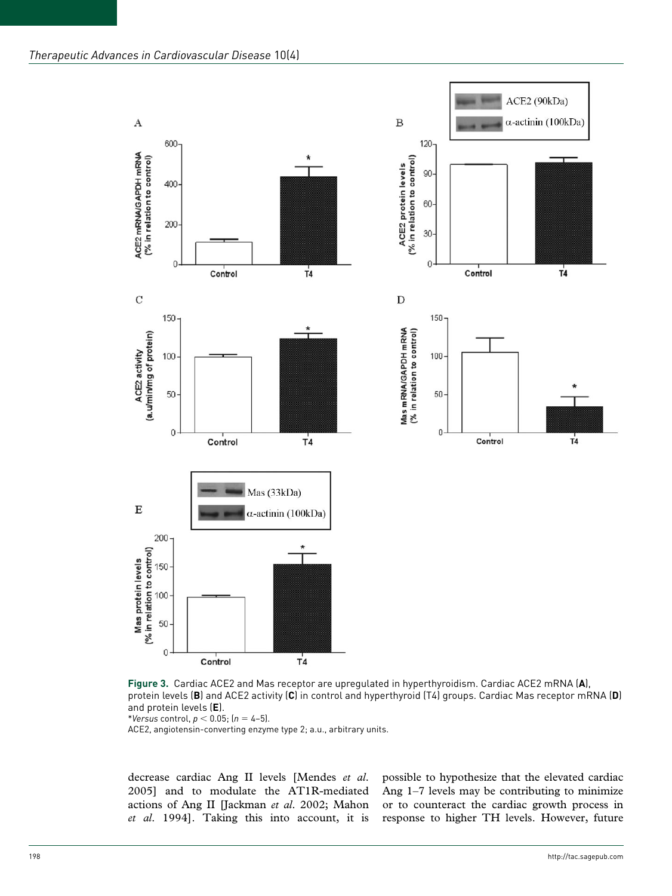

**Figure 3.** Cardiac ACE2 and Mas receptor are upregulated in hyperthyroidism. Cardiac ACE2 mRNA (**A**), protein levels (**B**) and ACE2 activity (**C**) in control and hyperthyroid (T4) groups. Cardiac Mas receptor mRNA (**D**) and protein levels (**E**).

\**Versus* control, *p* < 0.05; (*n* = 4–5).

ACE2, angiotensin-converting enzyme type 2; a.u., arbitrary units.

decrease cardiac Ang II levels [Mendes *et al*. 2005] and to modulate the AT1R-mediated actions of Ang II [Jackman *et al*. 2002; Mahon *et al*. 1994]. Taking this into account, it is possible to hypothesize that the elevated cardiac Ang 1–7 levels may be contributing to minimize or to counteract the cardiac growth process in response to higher TH levels. However, future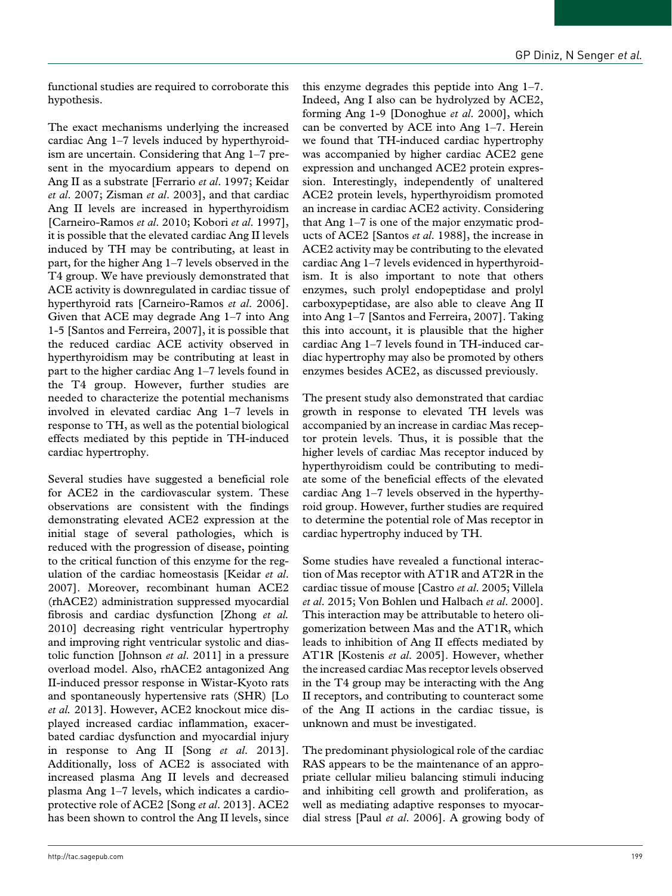functional studies are required to corroborate this hypothesis.

The exact mechanisms underlying the increased cardiac Ang 1–7 levels induced by hyperthyroidism are uncertain. Considering that Ang 1–7 present in the myocardium appears to depend on Ang II as a substrate [Ferrario *et al*. 1997; Keidar *et al*. 2007; Zisman *et al*. 2003], and that cardiac Ang II levels are increased in hyperthyroidism [Carneiro-Ramos *et al*. 2010; Kobori *et al*. 1997], it is possible that the elevated cardiac Ang II levels induced by TH may be contributing, at least in part, for the higher Ang 1–7 levels observed in the T4 group. We have previously demonstrated that ACE activity is downregulated in cardiac tissue of hyperthyroid rats [Carneiro-Ramos *et al*. 2006]. Given that ACE may degrade Ang 1–7 into Ang 1-5 [Santos and Ferreira, 2007], it is possible that the reduced cardiac ACE activity observed in hyperthyroidism may be contributing at least in part to the higher cardiac Ang 1–7 levels found in the T4 group. However, further studies are needed to characterize the potential mechanisms involved in elevated cardiac Ang 1–7 levels in response to TH, as well as the potential biological effects mediated by this peptide in TH-induced cardiac hypertrophy.

Several studies have suggested a beneficial role for ACE2 in the cardiovascular system. These observations are consistent with the findings demonstrating elevated ACE2 expression at the initial stage of several pathologies, which is reduced with the progression of disease, pointing to the critical function of this enzyme for the regulation of the cardiac homeostasis [Keidar *et al*. 2007]. Moreover, recombinant human ACE2 (rhACE2) administration suppressed myocardial fibrosis and cardiac dysfunction [Zhong *et al.* 2010] decreasing right ventricular hypertrophy and improving right ventricular systolic and diastolic function [Johnson *et al*. 2011] in a pressure overload model. Also, rhACE2 antagonized Ang II-induced pressor response in Wistar-Kyoto rats and spontaneously hypertensive rats (SHR) [Lo *et al.* 2013]. However, ACE2 knockout mice displayed increased cardiac inflammation, exacerbated cardiac dysfunction and myocardial injury in response to Ang II [Song *et al*. 2013]. Additionally, loss of ACE2 is associated with increased plasma Ang II levels and decreased plasma Ang 1–7 levels, which indicates a cardioprotective role of ACE2 [Song *et al*. 2013]. ACE2 has been shown to control the Ang II levels, since

this enzyme degrades this peptide into Ang 1–7. Indeed, Ang I also can be hydrolyzed by ACE2, forming Ang 1-9 [Donoghue *et al*. 2000], which can be converted by ACE into Ang 1–7. Herein we found that TH-induced cardiac hypertrophy was accompanied by higher cardiac ACE2 gene expression and unchanged ACE2 protein expression. Interestingly, independently of unaltered ACE2 protein levels, hyperthyroidism promoted an increase in cardiac ACE2 activity. Considering that Ang 1–7 is one of the major enzymatic products of ACE2 [Santos *et al*. 1988], the increase in ACE2 activity may be contributing to the elevated cardiac Ang 1–7 levels evidenced in hyperthyroidism. It is also important to note that others enzymes, such prolyl endopeptidase and prolyl carboxypeptidase, are also able to cleave Ang II into Ang 1–7 [Santos and Ferreira, 2007]. Taking this into account, it is plausible that the higher cardiac Ang 1–7 levels found in TH-induced cardiac hypertrophy may also be promoted by others enzymes besides ACE2, as discussed previously.

The present study also demonstrated that cardiac growth in response to elevated TH levels was accompanied by an increase in cardiac Mas receptor protein levels. Thus, it is possible that the higher levels of cardiac Mas receptor induced by hyperthyroidism could be contributing to mediate some of the beneficial effects of the elevated cardiac Ang 1–7 levels observed in the hyperthyroid group. However, further studies are required to determine the potential role of Mas receptor in cardiac hypertrophy induced by TH.

Some studies have revealed a functional interaction of Mas receptor with AT1R and AT2R in the cardiac tissue of mouse [Castro *et al*. 2005; Villela *et al*. 2015; Von Bohlen und Halbach *et al*. 2000]. This interaction may be attributable to hetero oligomerization between Mas and the AT1R, which leads to inhibition of Ang II effects mediated by AT1R [Kostenis *et al*. 2005]. However, whether the increased cardiac Mas receptor levels observed in the T4 group may be interacting with the Ang II receptors, and contributing to counteract some of the Ang II actions in the cardiac tissue, is unknown and must be investigated.

The predominant physiological role of the cardiac RAS appears to be the maintenance of an appropriate cellular milieu balancing stimuli inducing and inhibiting cell growth and proliferation, as well as mediating adaptive responses to myocardial stress [Paul *et al*. 2006]. A growing body of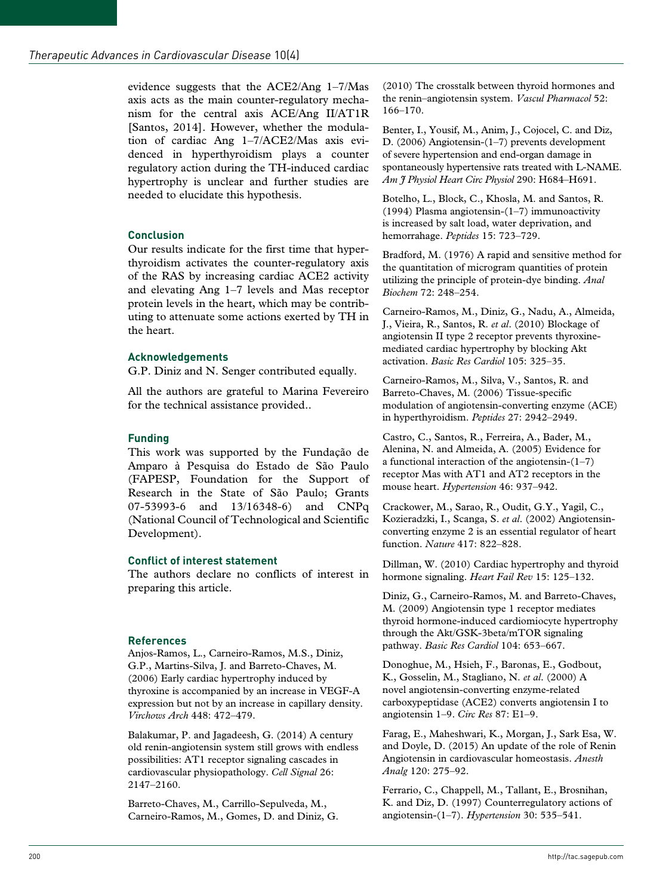evidence suggests that the ACE2/Ang 1–7/Mas axis acts as the main counter-regulatory mechanism for the central axis ACE/Ang II/AT1R [Santos, 2014]. However, whether the modulation of cardiac Ang 1–7/ACE2/Mas axis evidenced in hyperthyroidism plays a counter regulatory action during the TH-induced cardiac hypertrophy is unclear and further studies are needed to elucidate this hypothesis.

# **Conclusion**

Our results indicate for the first time that hyperthyroidism activates the counter-regulatory axis of the RAS by increasing cardiac ACE2 activity and elevating Ang 1–7 levels and Mas receptor protein levels in the heart, which may be contributing to attenuate some actions exerted by TH in the heart.

# **Acknowledgements**

G.P. Diniz and N. Senger contributed equally.

All the authors are grateful to Marina Fevereiro for the technical assistance provided..

#### **Funding**

This work was supported by the Fundação de Amparo à Pesquisa do Estado de São Paulo (FAPESP, Foundation for the Support of Research in the State of São Paulo; Grants 07-53993-6 and 13/16348-6) and CNPq (National Council of Technological and Scientific Development).

## **Conflict of interest statement**

The authors declare no conflicts of interest in preparing this article.

## **References**

Anjos-Ramos, L., Carneiro-Ramos, M.S., Diniz, G.P., Martins-Silva, J. and Barreto-Chaves, M. (2006) Early cardiac hypertrophy induced by thyroxine is accompanied by an increase in VEGF-A expression but not by an increase in capillary density. *Virchows Arch* 448: 472–479.

Balakumar, P. and Jagadeesh, G. (2014) A century old renin-angiotensin system still grows with endless possibilities: AT1 receptor signaling cascades in cardiovascular physiopathology. *Cell Signal* 26: 2147–2160.

Barreto-Chaves, M., Carrillo-Sepulveda, M., Carneiro-Ramos, M., Gomes, D. and Diniz, G. (2010) The crosstalk between thyroid hormones and the renin–angiotensin system. *Vascul Pharmacol* 52: 166–170.

Benter, I., Yousif, M., Anim, J., Cojocel, C. and Diz, D. (2006) Angiotensin-(1–7) prevents development of severe hypertension and end-organ damage in spontaneously hypertensive rats treated with L-NAME. *Am J Physiol Heart Circ Physiol* 290: H684–H691.

Botelho, L., Block, C., Khosla, M. and Santos, R. (1994) Plasma angiotensin-(1–7) immunoactivity is increased by salt load, water deprivation, and hemorrahage. *Peptides* 15: 723–729.

Bradford, M. (1976) A rapid and sensitive method for the quantitation of microgram quantities of protein utilizing the principle of protein-dye binding. *Anal Biochem* 72: 248–254.

Carneiro-Ramos, M., Diniz, G., Nadu, A., Almeida, J., Vieira, R., Santos, R. *et al*. (2010) Blockage of angiotensin II type 2 receptor prevents thyroxinemediated cardiac hypertrophy by blocking Akt activation. *Basic Res Cardiol* 105: 325–35.

Carneiro-Ramos, M., Silva, V., Santos, R. and Barreto-Chaves, M. (2006) Tissue-specific modulation of angiotensin-converting enzyme (ACE) in hyperthyroidism. *Peptides* 27: 2942–2949.

Castro, C., Santos, R., Ferreira, A., Bader, M., Alenina, N. and Almeida, A. (2005) Evidence for a functional interaction of the angiotensin- $(1-7)$ receptor Mas with AT1 and AT2 receptors in the mouse heart. *Hypertension* 46: 937–942.

Crackower, M., Sarao, R., Oudit, G.Y., Yagil, C., Kozieradzki, I., Scanga, S. *et al*. (2002) Angiotensinconverting enzyme 2 is an essential regulator of heart function. *Nature* 417: 822–828.

Dillman, W. (2010) Cardiac hypertrophy and thyroid hormone signaling. *Heart Fail Rev* 15: 125–132.

Diniz, G., Carneiro-Ramos, M. and Barreto-Chaves, M. (2009) Angiotensin type 1 receptor mediates thyroid hormone-induced cardiomiocyte hypertrophy through the Akt/GSK-3beta/mTOR signaling pathway. *Basic Res Cardiol* 104: 653–667.

Donoghue, M., Hsieh, F., Baronas, E., Godbout, K., Gosselin, M., Stagliano, N. *et al*. (2000) A novel angiotensin-converting enzyme-related carboxypeptidase (ACE2) converts angiotensin I to angiotensin 1–9. *Circ Res* 87: E1–9.

Farag, E., Maheshwari, K., Morgan, J., Sark Esa, W. and Doyle, D. (2015) An update of the role of Renin Angiotensin in cardiovascular homeostasis. *Anesth Analg* 120: 275–92.

Ferrario, C., Chappell, M., Tallant, E., Brosnihan, K. and Diz, D. (1997) Counterregulatory actions of angiotensin-(1–7). *Hypertension* 30: 535–541.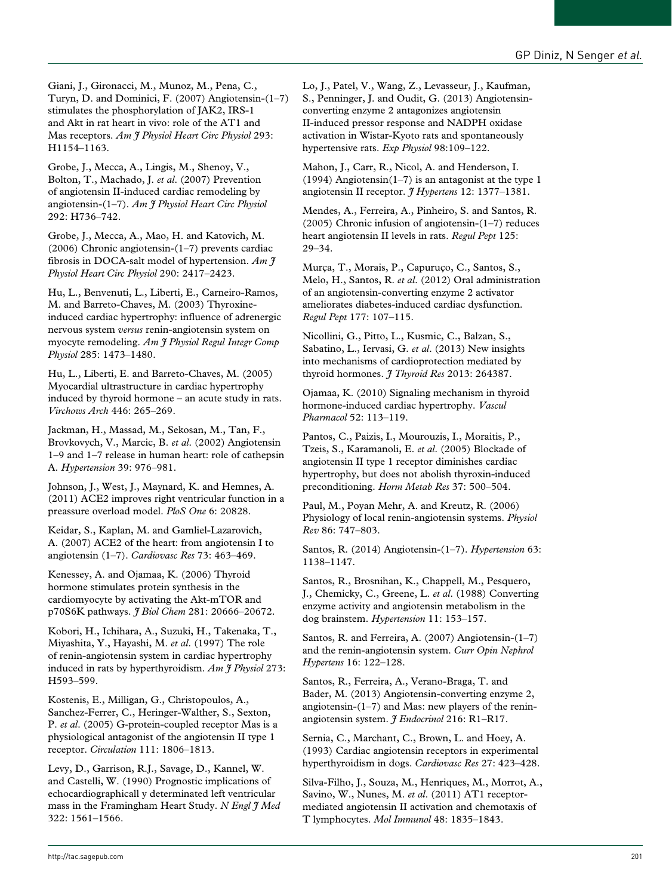Giani, J., Gironacci, M., Munoz, M., Pena, C., Turyn, D. and Dominici, F. (2007) Angiotensin-(1–7) stimulates the phosphorylation of JAK2, IRS-1 and Akt in rat heart in vivo: role of the AT1 and Mas receptors. *Am J Physiol Heart Circ Physiol* 293: H1154–1163.

Grobe, J., Mecca, A., Lingis, M., Shenoy, V., Bolton, T., Machado, J. *et al*. (2007) Prevention of angiotensin II-induced cardiac remodeling by angiotensin-(1–7). *Am J Physiol Heart Circ Physiol* 292: H736–742.

Grobe, J., Mecca, A., Mao, H. and Katovich, M. (2006) Chronic angiotensin-(1–7) prevents cardiac fibrosis in DOCA-salt model of hypertension. *Am J Physiol Heart Circ Physiol* 290: 2417–2423.

Hu, L., Benvenuti, L., Liberti, E., Carneiro-Ramos, M. and Barreto-Chaves, M. (2003) Thyroxineinduced cardiac hypertrophy: influence of adrenergic nervous system *versus* renin-angiotensin system on myocyte remodeling. *Am J Physiol Regul Integr Comp Physiol* 285: 1473–1480.

Hu, L., Liberti, E. and Barreto-Chaves, M. (2005) Myocardial ultrastructure in cardiac hypertrophy induced by thyroid hormone – an acute study in rats. *Virchows Arch* 446: 265–269.

Jackman, H., Massad, M., Sekosan, M., Tan, F., Brovkovych, V., Marcic, B. *et al*. (2002) Angiotensin 1–9 and 1–7 release in human heart: role of cathepsin A. *Hypertension* 39: 976–981.

Johnson, J., West, J., Maynard, K. and Hemnes, A. (2011) ACE2 improves right ventricular function in a preassure overload model. *PloS One* 6: 20828.

Keidar, S., Kaplan, M. and Gamliel-Lazarovich, A. (2007) ACE2 of the heart: from angiotensin I to angiotensin (1–7). *Cardiovasc Res* 73: 463–469.

Kenessey, A. and Ojamaa, K. (2006) Thyroid hormone stimulates protein synthesis in the cardiomyocyte by activating the Akt-mTOR and p70S6K pathways. *J Biol Chem* 281: 20666–20672.

Kobori, H., Ichihara, A., Suzuki, H., Takenaka, T., Miyashita, Y., Hayashi, M. *et al*. (1997) The role of renin-angiotensin system in cardiac hypertrophy induced in rats by hyperthyroidism. *Am J Physiol* 273: H593–599.

Kostenis, E., Milligan, G., Christopoulos, A., Sanchez-Ferrer, C., Heringer-Walther, S., Sexton, P. *et al*. (2005) G-protein-coupled receptor Mas is a physiological antagonist of the angiotensin II type 1 receptor. *Circulation* 111: 1806–1813.

Levy, D., Garrison, R.J., Savage, D., Kannel, W. and Castelli, W. (1990) Prognostic implications of echocardiographicall y determinated left ventricular mass in the Framingham Heart Study. *N Engl J Med* 322: 1561–1566.

Lo, J., Patel, V., Wang, Z., Levasseur, J., Kaufman, S., Penninger, J. and Oudit, G. (2013) Angiotensinconverting enzyme 2 antagonizes angiotensin II-induced pressor response and NADPH oxidase activation in Wistar-Kyoto rats and spontaneously hypertensive rats. *Exp Physiol* 98:109–122.

Mahon, J., Carr, R., Nicol, A. and Henderson, I. (1994) Angiotensin(1–7) is an antagonist at the type 1 angiotensin II receptor. *J Hypertens* 12: 1377–1381.

Mendes, A., Ferreira, A., Pinheiro, S. and Santos, R. (2005) Chronic infusion of angiotensin-(1–7) reduces heart angiotensin II levels in rats. *Regul Pept* 125: 29–34.

Murça, T., Morais, P., Capuruço, C., Santos, S., Melo, H., Santos, R. *et al*. (2012) Oral administration of an angiotensin-converting enzyme 2 activator ameliorates diabetes-induced cardiac dysfunction. *Regul Pept* 177: 107–115.

Nicollini, G., Pitto, L., Kusmic, C., Balzan, S., Sabatino, L., Iervasi, G. *et al*. (2013) New insights into mechanisms of cardioprotection mediated by thyroid hormones. *J Thyroid Res* 2013: 264387.

Ojamaa, K. (2010) Signaling mechanism in thyroid hormone-induced cardiac hypertrophy. *Vascul Pharmacol* 52: 113–119.

Pantos, C., Paizis, I., Mourouzis, I., Moraitis, P., Tzeis, S., Karamanoli, E. *et al*. (2005) Blockade of angiotensin II type 1 receptor diminishes cardiac hypertrophy, but does not abolish thyroxin-induced preconditioning. *Horm Metab Res* 37: 500–504.

Paul, M., Poyan Mehr, A. and Kreutz, R. (2006) Physiology of local renin-angiotensin systems. *Physiol Rev* 86: 747–803.

Santos, R. (2014) Angiotensin-(1–7). *Hypertension* 63: 1138–1147.

Santos, R., Brosnihan, K., Chappell, M., Pesquero, J., Chemicky, C., Greene, L. *et al*. (1988) Converting enzyme activity and angiotensin metabolism in the dog brainstem. *Hypertension* 11: 153–157.

Santos, R. and Ferreira, A. (2007) Angiotensin-(1–7) and the renin-angiotensin system. *Curr Opin Nephrol Hypertens* 16: 122–128.

Santos, R., Ferreira, A., Verano-Braga, T. and Bader, M. (2013) Angiotensin-converting enzyme 2, angiotensin-(1–7) and Mas: new players of the reninangiotensin system. *J Endocrinol* 216: R1–R17.

Sernia, C., Marchant, C., Brown, L. and Hoey, A. (1993) Cardiac angiotensin receptors in experimental hyperthyroidism in dogs. *Cardiovasc Res* 27: 423–428.

Silva-Filho, J., Souza, M., Henriques, M., Morrot, A., Savino, W., Nunes, M. *et al*. (2011) AT1 receptormediated angiotensin II activation and chemotaxis of T lymphocytes. *Mol Immunol* 48: 1835–1843.